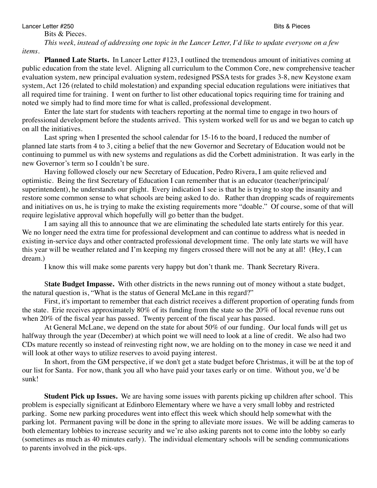Lancer Letter #250 Bits & Pieces

*items.*

*This week, instead of addressing one topic in the Lancer Letter, I'd like to update everyone on a few* 

**Planned Late Starts.** In Lancer Letter #123, I outlined the tremendous amount of initiatives coming at public education from the state level. Aligning all curriculum to the Common Core, new comprehensive teacher evaluation system, new principal evaluation system, redesigned PSSA tests for grades 3-8, new Keystone exam system, Act 126 (related to child molestation) and expanding special education regulations were initiatives that all required time for training. I went on further to list other educational topics requiring time for training and noted we simply had to find more time for what is called, professional development.

Enter the late start for students with teachers reporting at the normal time to engage in two hours of professional development before the students arrived. This system worked well for us and we began to catch up on all the initiatives.

Last spring when I presented the school calendar for 15-16 to the board, I reduced the number of planned late starts from 4 to 3, citing a belief that the new Governor and Secretary of Education would not be continuing to pummel us with new systems and regulations as did the Corbett administration. It was early in the new Governor's term so I couldn't be sure.

Having followed closely our new Secretary of Education, Pedro Rivera, I am quite relieved and optimistic. Being the first Secretary of Education I can remember that is an educator (teacher/principal/ superintendent), he understands our plight. Every indication I see is that he is trying to stop the insanity and restore some common sense to what schools are being asked to do. Rather than dropping scads of requirements and initiatives on us, he is trying to make the existing requirements more "doable." Of course, some of that will require legislative approval which hopefully will go better than the budget.

I am saying all this to announce that we are eliminating the scheduled late starts entirely for this year. We no longer need the extra time for professional development and can continue to address what is needed in existing in-service days and other contracted professional development time. The only late starts we will have this year will be weather related and I'm keeping my fingers crossed there will not be any at all! (Hey, I can dream.)

I know this will make some parents very happy but don't thank me. Thank Secretary Rivera.

S**tate Budget Impasse.** With other districts in the news running out of money without a state budget, the natural question is, "What is the status of General McLane in this regard?"

First, it's important to remember that each district receives a different proportion of operating funds from the state. Erie receives approximately 80% of its funding from the state so the 20% of local revenue runs out when 20% of the fiscal year has passed. Twenty percent of the fiscal year has passed.

At General McLane, we depend on the state for about 50% of our funding. Our local funds will get us halfway through the year (December) at which point we will need to look at a line of credit. We also had two CDs mature recently so instead of reinvesting right now, we are holding on to the money in case we need it and will look at other ways to utilize reserves to avoid paying interest.

In short, from the GM perspective, if we don't get a state budget before Christmas, it will be at the top of our list for Santa. For now, thank you all who have paid your taxes early or on time. Without you, we'd be sunk!

**Student Pick up Issues.** We are having some issues with parents picking up children after school. This problem is especially significant at Edinboro Elementary where we have a very small lobby and restricted parking. Some new parking procedures went into effect this week which should help somewhat with the parking lot. Permanent paving will be done in the spring to alleviate more issues. We will be adding cameras to both elementary lobbies to increase security and we're also asking parents not to come into the lobby so early (sometimes as much as 40 minutes early). The individual elementary schools will be sending communications to parents involved in the pick-ups.